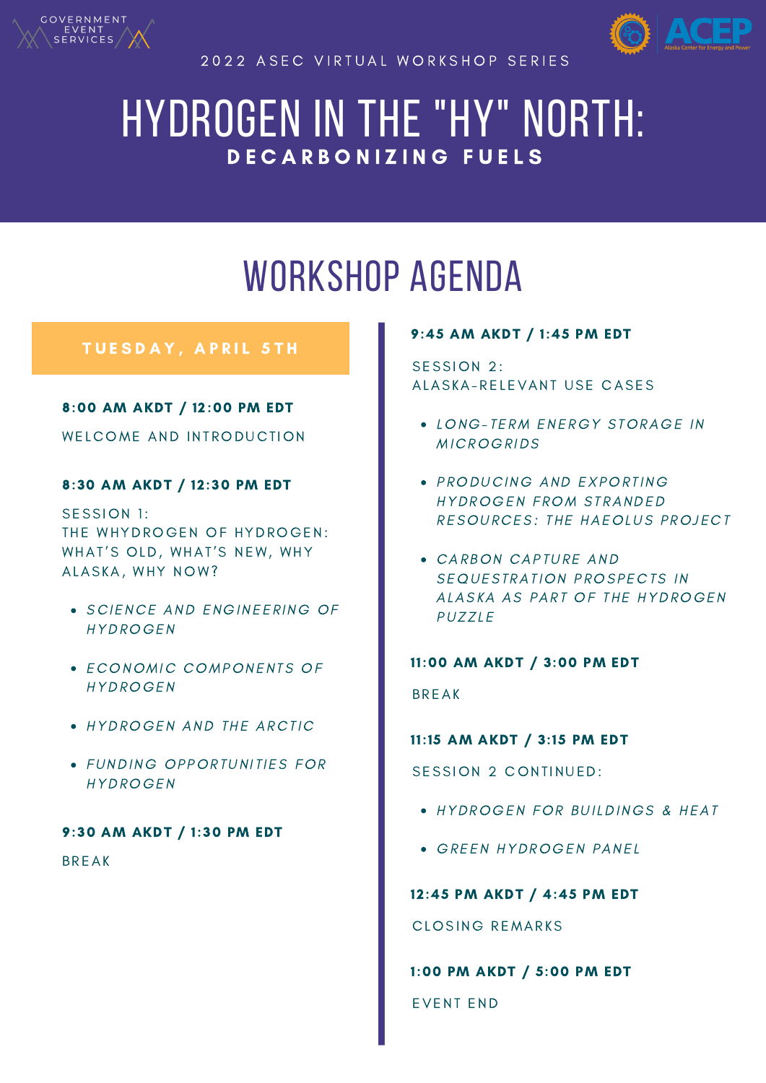

2022 A SEC VIRTUAL WORKSHOP SERIES



# HYDROGEN IN THE "HY" NORTH: DECARBONIZING FUELS

# WORKSHOP AGENDA

# TUESDAY, APRIL 5TH

# 8:00 AM AKDT / 12:00 PM EDT

WELCOME AND INTRODUCTION

# 8:30 AM AKDT / 12:30 PM EDT

SESSION 1: THE WHYDROGEN OF HYDROGEN: WHAT'S OLD, WHAT'S NEW, WHY ALASKA, WHY NOW?

- **.** SCIENCE AND ENGINEERING OF HYDROGEN
- ECONOMIC COMPONENTS OF HYDROGEN
- HYDROGEN AND THE ARCTIC
- FUNDING OPPORTUNITIES FOR HYDROGEN

# 9:30 AM AKDT / 1:30 PM EDT

**BREAK** 

#### W E D N E S D A Y N E S D A Y L 6 T H A Y L 6 T H A Y L 6 T H A Y L 6 T H A Y L 6 T H A Y L 6 T H A Y L 6 T H A 9:45 AM AKDT / 1:45 PM EDT

SESSION 2: ALASKA-RELEVANT USE CASES

- LONG-TERM ENERGY STORAGE IN **MICROGRIDS**
- PRODUCING AND EXPORTING HYDROGEN FROM STRANDED RESOURCES: THE HAEOLUS PROJECT
- CARBON CAPTURE AND SEQUESTRATION PROSPECTS IN ALASKA AS PART OF THE HYDROGEN **PUZZLE**

11:00 AM AKDT / 3:00 PM EDT **BREAK** 

11:15 AM AKDT / 3:15 PM EDT

SESSION 2 CONTINUED:

- HYDROGEN FOR BUILDINGS & HEAT
- **GREEN HYDROGEN PANEL**

12:45 PM AKDT / 4:45 PM EDT

CLOSING REMARKS

1:00 PM AKDT / 5:00 PM EDT

EVENT END